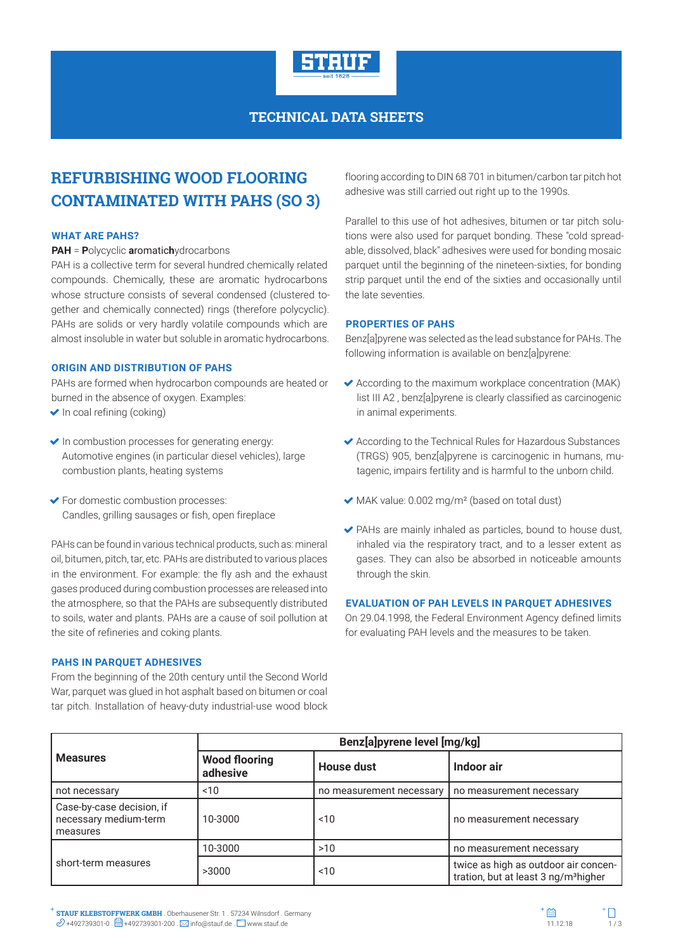

### **TECHNICAL DATA SHEETS**

# **REFURBISHING WOOD FLOORING CONTAMINATED WITH PAHS (SO 3)**

#### **WHAT ARE PAHS?**

**PAH** = **P**olycyclic **a**romatic**h**ydrocarbons

PAH is a collective term for several hundred chemically related compounds. Chemically, these are aromatic hydrocarbons whose structure consists of several condensed (clustered together and chemically connected) rings (therefore polycyclic). PAHs are solids or very hardly volatile compounds which are almost insoluble in water but soluble in aromatic hydrocarbons.

#### **ORIGIN AND DISTRIBUTION OF PAHS**

PAHs are formed when hydrocarbon compounds are heated or burned in the absence of oxygen. Examples:

- $\blacktriangleright$  In coal refining (coking)
- $\blacktriangleright$  In combustion processes for generating energy: Automotive engines (in particular diesel vehicles), large combustion plants, heating systems
- For domestic combustion processes: Candles, grilling sausages or fish, open fireplace

PAHs can be found in various technical products, such as: mineral oil, bitumen, pitch, tar, etc. PAHs are distributed to various places in the environment. For example: the fly ash and the exhaust gases produced during combustion processes are released into the atmosphere, so that the PAHs are subsequently distributed to soils, water and plants. PAHs are a cause of soil pollution at the site of refineries and coking plants.

### **PAHS IN PARQUET ADHESIVES**

From the beginning of the 20th century until the Second World War, parquet was glued in hot asphalt based on bitumen or coal tar pitch. Installation of heavy-duty industrial-use wood block flooring according to DIN 68 701 in bitumen/carbon tar pitch hot adhesive was still carried out right up to the 1990s.

Parallel to this use of hot adhesives, bitumen or tar pitch solutions were also used for parquet bonding. These "cold spreadable, dissolved, black" adhesives were used for bonding mosaic parquet until the beginning of the nineteen-sixties, for bonding strip parquet until the end of the sixties and occasionally until the late seventies.

### **PROPERTIES OF PAHS**

Benz[a]pyrene was selected as the lead substance for PAHs. The following information is available on benz[a]pyrene:

- $\blacktriangleright$  According to the maximum workplace concentration (MAK) list III A2 , benz[a]pyrene is clearly classified as carcinogenic in animal experiments.
- According to the Technical Rules for Hazardous Substances (TRGS) 905, benz[a]pyrene is carcinogenic in humans, mutagenic, impairs fertility and is harmful to the unborn child.
- MAK value: 0.002 mg/m² (based on total dust)
- PAHs are mainly inhaled as particles, bound to house dust, inhaled via the respiratory tract, and to a lesser extent as gases. They can also be absorbed in noticeable amounts through the skin.

#### **EVALUATION OF PAH LEVELS IN PARQUET ADHESIVES**

On 29.04.1998, the Federal Environment Agency defined limits for evaluating PAH levels and the measures to be taken.

| <b>Measures</b>                                                | Benz[a]pyrene level [mg/kg]      |                          |                                                                                          |
|----------------------------------------------------------------|----------------------------------|--------------------------|------------------------------------------------------------------------------------------|
|                                                                | <b>Wood flooring</b><br>adhesive | <b>House dust</b>        | Indoor air                                                                               |
| not necessary                                                  | 10                               | no measurement necessary | no measurement necessary                                                                 |
| Case-by-case decision, if<br>necessary medium-term<br>measures | 10-3000                          | 10                       | no measurement necessary                                                                 |
| short-term measures                                            | 10-3000                          | >10                      | no measurement necessary                                                                 |
|                                                                | >3000                            | ~10                      | twice as high as outdoor air concen-<br>tration, but at least 3 ng/m <sup>3</sup> higher |

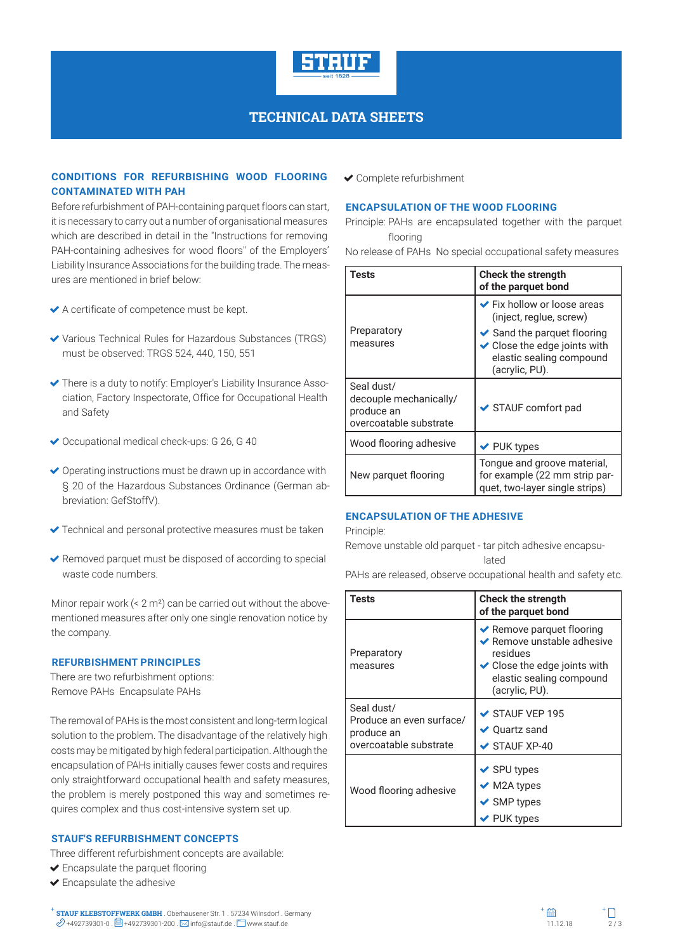

### **TECHNICAL DATA SHEETS**

### **CONDITIONS FOR REFURBISHING WOOD FLOORING CONTAMINATED WITH PAH**

Before refurbishment of PAH-containing parquet floors can start, it is necessary to carry out a number of organisational measures which are described in detail in the "Instructions for removing PAH-containing adhesives for wood floors" of the Employers' Liability Insurance Associations for the building trade. The measures are mentioned in brief below:

- A certificate of competence must be kept.
- Various Technical Rules for Hazardous Substances (TRGS) must be observed: TRGS 524, 440, 150, 551
- There is a duty to notify: Employer's Liability Insurance Association, Factory Inspectorate, Office for Occupational Health and Safety
- ◆ Occupational medical check-ups: G 26, G 40
- $\triangleright$  Operating instructions must be drawn up in accordance with § 20 of the Hazardous Substances Ordinance (German abbreviation: GefStoffV).
- ◆ Technical and personal protective measures must be taken
- $\blacktriangleright$  Removed parquet must be disposed of according to special waste code numbers.

Minor repair work  $(< 2 m<sup>2</sup>)$  can be carried out without the abovementioned measures after only one single renovation notice by the company.

### **REFURBISHMENT PRINCIPLES**

There are two refurbishment options: Remove PAHs Encapsulate PAHs

The removal of PAHs is the most consistent and long-term logical solution to the problem. The disadvantage of the relatively high costs may be mitigated by high federal participation. Although the encapsulation of PAHs initially causes fewer costs and requires only straightforward occupational health and safety measures, the problem is merely postponed this way and sometimes requires complex and thus cost-intensive system set up.

### **STAUF'S REFURBISHMENT CONCEPTS**

Three different refurbishment concepts are available:

- Encapsulate the parquet flooring
- Encapsulate the adhesive
- **STAUF KLEBSTOFFWERK GMBH** . Oberhausener Str. 1 . 57234 Wilnsdorf . Germany **STAUF KLEBSTOFFWERK GMBH** . Oberhausener Str. 1 . 57234 Wilnsdorf . Germany  $\mathscr{D}$  +492739301-0 .  $\Box$  +492739301-200 .  $\boxtimes$  info@stauf.de .  $\Box$  www.stauf.de .  $\Box$  www.stauf.de . www.stauf.de . which is a set of the

Complete refurbishment

#### **ENCAPSULATION OF THE WOOD FLOORING**

Principle: PAHs are encapsulated together with the parquet flooring

No release of PAHs No special occupational safety measures

| Tests                                                                        | <b>Check the strength</b><br>of the parquet bond                                                                              |
|------------------------------------------------------------------------------|-------------------------------------------------------------------------------------------------------------------------------|
|                                                                              | ← Fix hollow or loose areas<br>(inject, reglue, screw)                                                                        |
| Preparatory<br>measures                                                      | $\blacktriangleright$ Sand the parquet flooring<br>◆ Close the edge joints with<br>elastic sealing compound<br>(acrylic, PU). |
| Seal dust/<br>decouple mechanically/<br>produce an<br>overcoatable substrate | $\triangleright$ STAUF comfort pad                                                                                            |
| Wood flooring adhesive                                                       | $\vee$ PUK types                                                                                                              |
| New parquet flooring                                                         | Tongue and groove material,<br>for example (22 mm strip par-<br>quet, two-layer single strips)                                |

### **ENCAPSULATION OF THE ADHESIVE**

Principle:

Remove unstable old parquet - tar pitch adhesive encapsulated

PAHs are released, observe occupational health and safety etc.

| Tests                                                                          | <b>Check the strength</b><br>of the parquet bond                                                                                                                                          |
|--------------------------------------------------------------------------------|-------------------------------------------------------------------------------------------------------------------------------------------------------------------------------------------|
| Preparatory<br>measures                                                        | $\blacktriangleright$ Remove parquet flooring<br>$\blacktriangleright$ Remove unstable adhesive<br>residues<br>◆ Close the edge joints with<br>elastic sealing compound<br>(acrylic, PU). |
| Seal dust/<br>Produce an even surface/<br>produce an<br>overcoatable substrate | $\checkmark$ STAUF VEP 195<br>✔ Quartz sand<br>$\triangleright$ STAUF XP-40                                                                                                               |
| Wood flooring adhesive                                                         | ✔ SPU types<br>$\blacktriangleright$ M2A types<br>$\blacktriangleright$ SMP types<br><b>PUK types</b>                                                                                     |